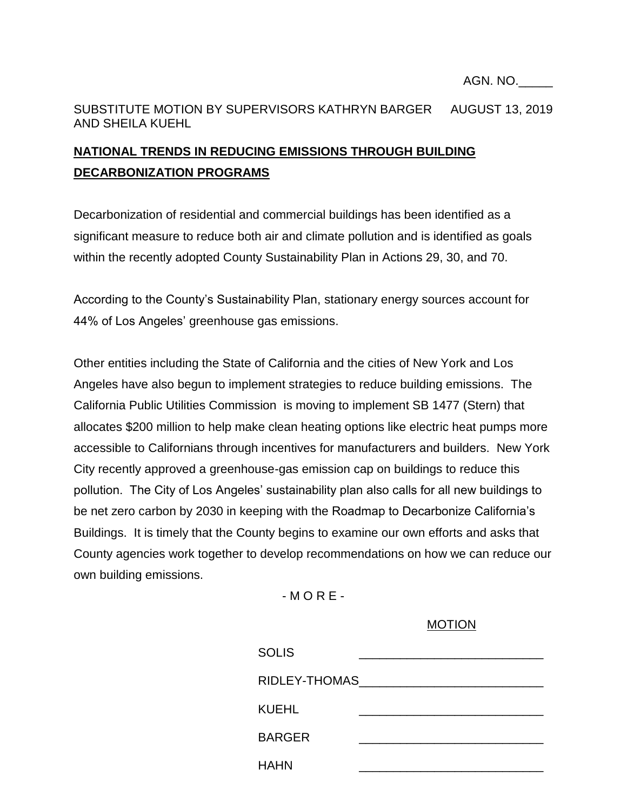## SUBSTITUTE MOTION BY SUPERVISORS KATHRYN BARGER AUGUST 13, 2019 AND SHEILA KUEHL

## **NATIONAL TRENDS IN REDUCING EMISSIONS THROUGH BUILDING DECARBONIZATION PROGRAMS**

Decarbonization of residential and commercial buildings has been identified as a significant measure to reduce both air and climate pollution and is identified as goals within the recently adopted County Sustainability Plan in Actions 29, 30, and 70.

According to the County's Sustainability Plan, stationary energy sources account for 44% of Los Angeles' greenhouse gas emissions.

Other entities including the State of California and the cities of New York and Los Angeles have also begun to implement strategies to reduce building emissions. The California Public Utilities Commission is moving to implement SB 1477 (Stern) that allocates \$200 million to help make clean heating options like electric heat pumps more accessible to Californians through incentives for manufacturers and builders. New York City recently approved a greenhouse-gas emission cap on buildings to reduce this pollution. The City of Los Angeles' sustainability plan also calls for all new buildings to be net zero carbon by 2030 in keeping with the Roadmap to Decarbonize California's Buildings. It is timely that the County begins to examine our own efforts and asks that County agencies work together to develop recommendations on how we can reduce our own building emissions.

 $-MORE-$ 

## MOTION

| <b>SOLIS</b>  |  |
|---------------|--|
| RIDLEY-THOMAS |  |
| <b>KUEHL</b>  |  |
| <b>BARGER</b> |  |
| <b>HAHN</b>   |  |